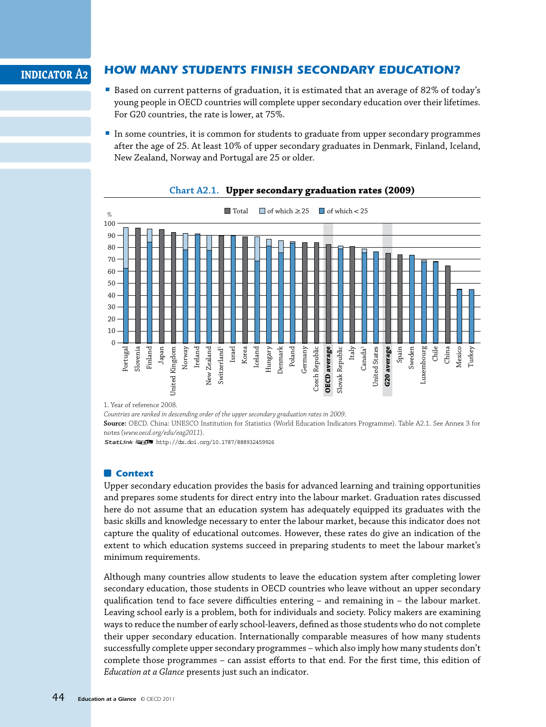# **Indicator A2**

## *How Many Students Finish Secondary Education?*

- **•** Based on current patterns of graduation, it is estimated that an average of 82% of today's young people in OECD countries will complete upper secondary education over their lifetimes. For G20 countries, the rate is lower, at 75%.
- **•** In some countries, it is common for students to graduate from upper secondary programmes after the age of 25. At least 10% of upper secondary graduates in Denmark, Finland, Iceland, New Zealand, Norway and Portugal are 25 or older.



### **Chart A2.1. Upper secondary graduation rates (2009)**

1. Year of reference 2008.

*Countries are ranked in descending order of the upper secondary graduation rates in 2009.*

**Source:** OECD. China: UNESCO Institution for Statistics (World Education Indicators Programme). Table A2.1. See Annex 3 for notes (*www.oecd.org/edu/eag2011*).

StatLink 15 http://dx.doi.org/10.1787/888932459926

## *Context*

Upper secondary education provides the basis for advanced learning and training opportunities and prepares some students for direct entry into the labour market. Graduation rates discussed here do not assume that an education system has adequately equipped its graduates with the basic skills and knowledge necessary to enter the labour market, because this indicator does not capture the quality of educational outcomes. However, these rates do give an indication of the extent to which education systems succeed in preparing students to meet the labour market's minimum requirements.

Although many countries allow students to leave the education system after completing lower secondary education, those students in OECD countries who leave without an upper secondary qualification tend to face severe difficulties entering – and remaining in – the labour market. Leaving school early is a problem, both for individuals and society. Policy makers are examining ways to reduce the number of early school-leavers, defined as those students who do not complete their upper secondary education. Internationally comparable measures of how many students successfully complete upper secondary programmes – which also imply how many students don't complete those programmes – can assist efforts to that end. For the first time, this edition of *Education at a Glance* presents just such an indicator.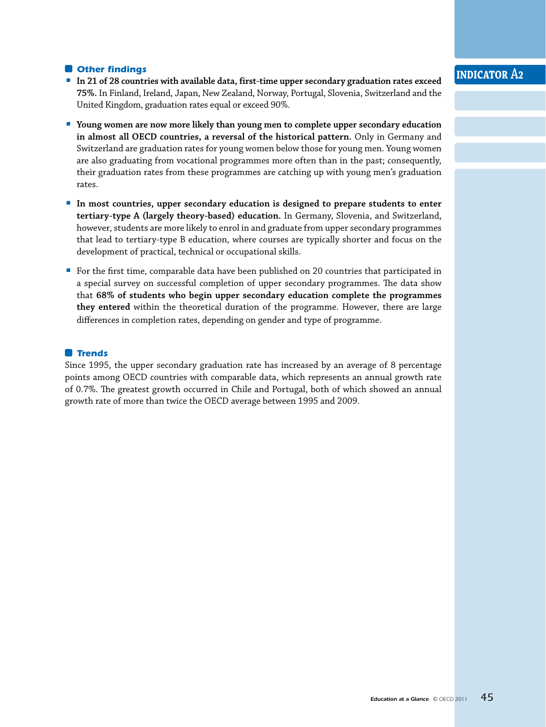## *Other findings*

- **In 21 of 28 countries with available data, first-time upper secondary graduation rates exceed 75%.** In Finland, Ireland, Japan, New Zealand, Norway, Portugal, Slovenia, Switzerland and the United Kingdom, graduation rates equal or exceed 90%.
- **Young women are now more likely than young men to complete upper secondary education in almost all OECD countries, a reversal of the historical pattern.** Only in Germany and Switzerland are graduation rates for young women below those for young men. Young women are also graduating from vocational programmes more often than in the past; consequently, their graduation rates from these programmes are catching up with young men's graduation rates.
- **In most countries, upper secondary education is designed to prepare students to enter tertiary-type A (largely theory-based) education.** In Germany, Slovenia, and Switzerland, however, students are more likely to enrol in and graduate from upper secondary programmes that lead to tertiary-type B education, where courses are typically shorter and focus on the development of practical, technical or occupational skills.
- For the first time, comparable data have been published on 20 countries that participated in a special survey on successful completion of upper secondary programmes. The data show that **68% of students who begin upper secondary education complete the programmes they entered** within the theoretical duration of the programme. However, there are large differences in completion rates, depending on gender and type of programme.

## *Trends*

Since 1995, the upper secondary graduation rate has increased by an average of 8 percentage points among OECD countries with comparable data, which represents an annual growth rate of 0.7%. The greatest growth occurred in Chile and Portugal, both of which showed an annual growth rate of more than twice the OECD average between 1995 and 2009.

# **Indicator A2**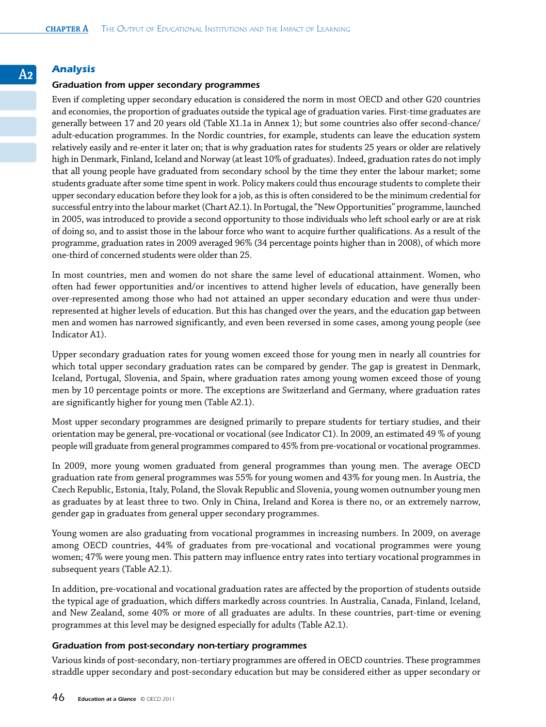#### *Analysis*

#### *Graduation from upper secondary programmes*

Even if completing upper secondary education is considered the norm in most OECD and other G20 countries and economies, the proportion of graduates outside the typical age of graduation varies. First-time graduates are generally between 17 and 20 years old (Table X1.1a in Annex 1); but some countries also offer second-chance/ adult-education programmes. In the Nordic countries, for example, students can leave the education system relatively easily and re-enter it later on; that is why graduation rates for students 25 years or older are relatively high in Denmark, Finland, Iceland and Norway (at least 10% of graduates). Indeed, graduation rates do not imply that all young people have graduated from secondary school by the time they enter the labour market; some students graduate after some time spent in work. Policy makers could thus encourage students to complete their upper secondary education before they look for a job, as this is often considered to be the minimum credential for successful entry into the labour market (Chart A2.1). In Portugal, the "New Opportunities" programme, launched in 2005, was introduced to provide a second opportunity to those individuals who left school early or are at risk of doing so, and to assist those in the labour force who want to acquire further qualifications. As a result of the programme, graduation rates in 2009 averaged 96% (34 percentage points higher than in 2008), of which more one-third of concerned students were older than 25.

In most countries, men and women do not share the same level of educational attainment. Women, who often had fewer opportunities and/or incentives to attend higher levels of education, have generally been over-represented among those who had not attained an upper secondary education and were thus underrepresented at higher levels of education. But this has changed over the years, and the education gap between men and women has narrowed significantly, and even been reversed in some cases, among young people (see Indicator A1).

Upper secondary graduation rates for young women exceed those for young men in nearly all countries for which total upper secondary graduation rates can be compared by gender. The gap is greatest in Denmark, Iceland, Portugal, Slovenia, and Spain, where graduation rates among young women exceed those of young men by 10 percentage points or more. The exceptions are Switzerland and Germany, where graduation rates are significantly higher for young men (Table A2.1).

Most upper secondary programmes are designed primarily to prepare students for tertiary studies, and their orientation may be general, pre-vocational or vocational (see Indicator C1). In 2009, an estimated 49 % of young people will graduate from general programmes compared to 45% from pre-vocational or vocational programmes.

In 2009, more young women graduated from general programmes than young men. The average OECD graduation rate from general programmes was 55% for young women and 43% for young men. In Austria, the Czech Republic, Estonia, Italy, Poland, the Slovak Republic and Slovenia, young women outnumber young men as graduates by at least three to two. Only in China, Ireland and Korea is there no, or an extremely narrow, gender gap in graduates from general upper secondary programmes.

Young women are also graduating from vocational programmes in increasing numbers. In 2009, on average among OECD countries, 44% of graduates from pre-vocational and vocational programmes were young women; 47% were young men. This pattern may influence entry rates into tertiary vocational programmes in subsequent years (Table A2.1).

In addition, pre-vocational and vocational graduation rates are affected by the proportion of students outside the typical age of graduation, which differs markedly across countries. In Australia, Canada, Finland, Iceland, and New Zealand, some 40% or more of all graduates are adults. In these countries, part-time or evening programmes at this level may be designed especially for adults (Table A2.1).

#### *Graduation from post-secondary non-tertiary programmes*

Various kinds of post-secondary, non-tertiary programmes are offered in OECD countries. These programmes straddle upper secondary and post-secondary education but may be considered either as upper secondary or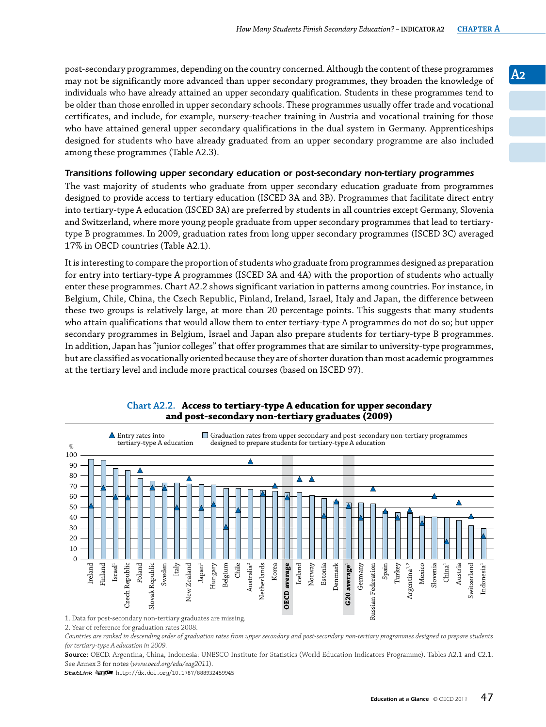post-secondary programmes, depending on the country concerned. Although the content of these programmes may not be significantly more advanced than upper secondary programmes, they broaden the knowledge of individuals who have already attained an upper secondary qualification. Students in these programmes tend to be older than those enrolled in upper secondary schools. These programmes usually offer trade and vocational certificates, and include, for example, nursery-teacher training in Austria and vocational training for those who have attained general upper secondary qualifications in the dual system in Germany. Apprenticeships designed for students who have already graduated from an upper secondary programme are also included among these programmes (Table A2.3).

#### *Transitions following upper secondary education or post-secondary non-tertiary programmes*

The vast majority of students who graduate from upper secondary education graduate from programmes designed to provide access to tertiary education (ISCED 3A and 3B). Programmes that facilitate direct entry into tertiary-type A education (ISCED 3A) are preferred by students in all countries except Germany, Slovenia and Switzerland, where more young people graduate from upper secondary programmes that lead to tertiarytype B programmes. In 2009, graduation rates from long upper secondary programmes (ISCED 3C) averaged 17% in OECD countries (Table A2.1).

It is interesting to compare the proportion of students who graduate from programmes designed as preparation for entry into tertiary-type A programmes (ISCED 3A and 4A) with the proportion of students who actually enter these programmes. Chart A2.2 shows significant variation in patterns among countries. For instance, in Belgium, Chile, China, the Czech Republic, Finland, Ireland, Israel, Italy and Japan, the difference between these two groups is relatively large, at more than 20 percentage points. This suggests that many students who attain qualifications that would allow them to enter tertiary-type A programmes do not do so; but upper secondary programmes in Belgium, Israel and Japan also prepare students for tertiary-type B programmes. In addition, Japan has "junior colleges" that offer programmes that are similar to university-type programmes, but are classified as vocationally oriented because they are of shorter duration than most academic programmes at the tertiary level and include more practical courses (based on ISCED 97).



#### **Chart A2.2. Access to tertiary-type A education for upper secondary and post-secondary non-tertiary graduates (2009)**

1. Data for post-secondary non-tertiary graduates are missing.

2. Year of reference for graduation rates 2008.

*Countries are ranked in descending order of graduation rates from upper secondary and post-secondary non-tertiary programmes designed to prepare students for tertiary-type A education in 2009.*

**Source:** OECD. Argentina, China, Indonesia: UNESCO Institute for Statistics (World Education Indicators Programme). Tables A2.1 and C2.1. See Annex 3 for notes (*www.oecd.org/edu/eag2011*).

12 http://dx.doi.org/10.1787/888932459945

**A2**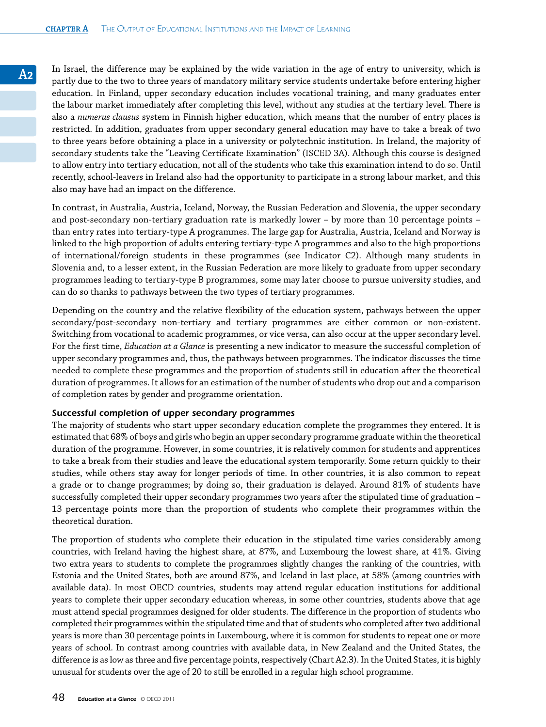In Israel, the difference may be explained by the wide variation in the age of entry to university, which is partly due to the two to three years of mandatory military service students undertake before entering higher education. In Finland, upper secondary education includes vocational training, and many graduates enter the labour market immediately after completing this level, without any studies at the tertiary level. There is also a *numerus clausus* system in Finnish higher education, which means that the number of entry places is restricted. In addition, graduates from upper secondary general education may have to take a break of two to three years before obtaining a place in a university or polytechnic institution. In Ireland, the majority of secondary students take the "Leaving Certificate Examination" (ISCED 3A). Although this course is designed to allow entry into tertiary education, not all of the students who take this examination intend to do so. Until recently, school-leavers in Ireland also had the opportunity to participate in a strong labour market, and this also may have had an impact on the difference.

In contrast, in Australia, Austria, Iceland, Norway, the Russian Federation and Slovenia, the upper secondary and post-secondary non-tertiary graduation rate is markedly lower – by more than 10 percentage points – than entry rates into tertiary-type A programmes. The large gap for Australia, Austria, Iceland and Norway is linked to the high proportion of adults entering tertiary-type A programmes and also to the high proportions of international/foreign students in these programmes (see Indicator C2). Although many students in Slovenia and, to a lesser extent, in the Russian Federation are more likely to graduate from upper secondary programmes leading to tertiary-type B programmes, some may later choose to pursue university studies, and can do so thanks to pathways between the two types of tertiary programmes.

Depending on the country and the relative flexibility of the education system, pathways between the upper secondary/post-secondary non-tertiary and tertiary programmes are either common or non-existent. Switching from vocational to academic programmes, or vice versa, can also occur at the upper secondary level. For the first time, *Education at a Glance* is presenting a new indicator to measure the successful completion of upper secondary programmes and, thus, the pathways between programmes. The indicator discusses the time needed to complete these programmes and the proportion of students still in education after the theoretical duration of programmes. It allows for an estimation of the number of students who drop out and a comparison of completion rates by gender and programme orientation.

#### *Successful completion of upper secondary programmes*

The majority of students who start upper secondary education complete the programmes they entered. It is estimated that 68% of boys and girls who begin an upper secondary programme graduate within the theoretical duration of the programme. However, in some countries, it is relatively common for students and apprentices to take a break from their studies and leave the educational system temporarily. Some return quickly to their studies, while others stay away for longer periods of time. In other countries, it is also common to repeat a grade or to change programmes; by doing so, their graduation is delayed. Around 81% of students have successfully completed their upper secondary programmes two years after the stipulated time of graduation – 13 percentage points more than the proportion of students who complete their programmes within the theoretical duration.

The proportion of students who complete their education in the stipulated time varies considerably among countries, with Ireland having the highest share, at 87%, and Luxembourg the lowest share, at 41%. Giving two extra years to students to complete the programmes slightly changes the ranking of the countries, with Estonia and the United States, both are around 87%, and Iceland in last place, at 58% (among countries with available data). In most OECD countries, students may attend regular education institutions for additional years to complete their upper secondary education whereas, in some other countries, students above that age must attend special programmes designed for older students. The difference in the proportion of students who completed their programmes within the stipulated time and that of students who completed after two additional years is more than 30 percentage points in Luxembourg, where it is common for students to repeat one or more years of school. In contrast among countries with available data, in New Zealand and the United States, the difference is as low as three and five percentage points, respectively (Chart A2.3). In the United States, it is highly unusual for students over the age of 20 to still be enrolled in a regular high school programme.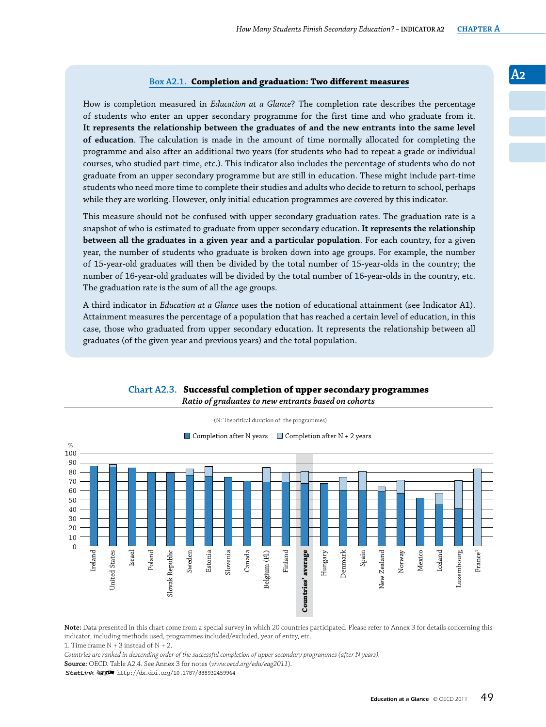#### **Box A2.1. Completion and graduation: Two different measures**

How is completion measured in *Education at a Glance*? The completion rate describes the percentage of students who enter an upper secondary programme for the first time and who graduate from it. **It represents the relationship between the graduates of and the new entrants into the same level of education**. The calculation is made in the amount of time normally allocated for completing the programme and also after an additional two years (for students who had to repeat a grade or individual courses, who studied part-time, etc.). This indicator also includes the percentage of students who do not graduate from an upper secondary programme but are still in education. These might include part-time students who need more time to complete their studies and adults who decide to return to school, perhaps while they are working. However, only initial education programmes are covered by this indicator.

This measure should not be confused with upper secondary graduation rates. The graduation rate is a snapshot of who is estimated to graduate from upper secondary education. **It represents the relationship between all the graduates in a given year and a particular population**. For each country, for a given year, the number of students who graduate is broken down into age groups. For example, the number of 15-year-old graduates will then be divided by the total number of 15-year-olds in the country; the number of 16-year-old graduates will be divided by the total number of 16-year-olds in the country, etc. The graduation rate is the sum of all the age groups.

A third indicator in *Education at a Glance* uses the notion of educational attainment (see Indicator A1). Attainment measures the percentage of a population that has reached a certain level of education, in this case, those who graduated from upper secondary education. It represents the relationship between all graduates (of the given year and previous years) and the total population.



## **Chart A2.3. Successful completion of upper secondary programmes** *Ratio of graduates to new entrants based on cohorts*

(N: Theoritical duration of the programmes)

**Note:** Data presented in this chart come from a special survey in which 20 countries participated. Please refer to Annex 3 for details concerning this indicator, including methods used, programmes included/excluded, year of entry, etc.

1. Time frame N + 3 instead of N + 2.

*Countries are ranked in descending order of the successful completion of upper secondary programmes (after N years).*

**Source:** OECD. Table A2.4. See Annex 3 for notes (*www.oecd.org/edu/eag2011*).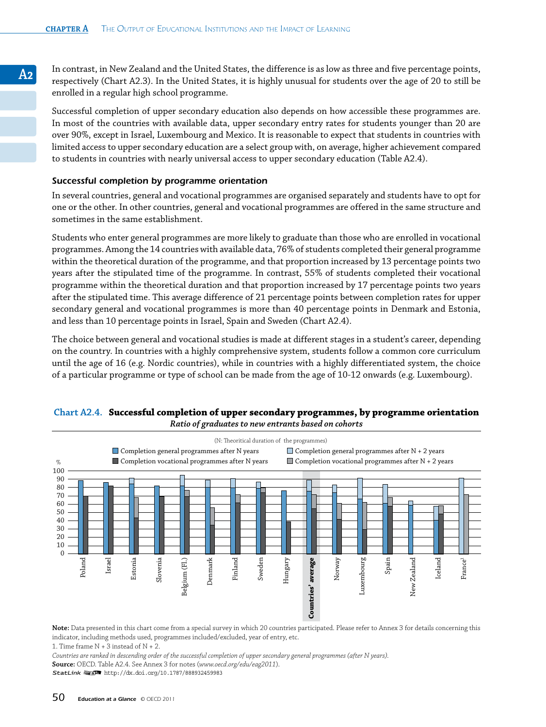In contrast, in New Zealand and the United States, the difference is as low as three and five percentage points, respectively (Chart A2.3). In the United States, it is highly unusual for students over the age of 20 to still be enrolled in a regular high school programme.

Successful completion of upper secondary education also depends on how accessible these programmes are. In most of the countries with available data, upper secondary entry rates for students younger than 20 are over 90%, except in Israel, Luxembourg and Mexico. It is reasonable to expect that students in countries with limited access to upper secondary education are a select group with, on average, higher achievement compared to students in countries with nearly universal access to upper secondary education (Table A2.4).

#### *Successful completion by programme orientation*

In several countries, general and vocational programmes are organised separately and students have to opt for one or the other. In other countries, general and vocational programmes are offered in the same structure and sometimes in the same establishment.

Students who enter general programmes are more likely to graduate than those who are enrolled in vocational programmes. Among the 14 countries with available data, 76% of students completed their general programme within the theoretical duration of the programme, and that proportion increased by 13 percentage points two years after the stipulated time of the programme. In contrast, 55% of students completed their vocational programme within the theoretical duration and that proportion increased by 17 percentage points two years after the stipulated time. This average difference of 21 percentage points between completion rates for upper secondary general and vocational programmes is more than 40 percentage points in Denmark and Estonia, and less than 10 percentage points in Israel, Spain and Sweden (Chart A2.4).

The choice between general and vocational studies is made at different stages in a student's career, depending on the country. In countries with a highly comprehensive system, students follow a common core curriculum until the age of 16 (e.g. Nordic countries), while in countries with a highly differentiated system, the choice of a particular programme or type of school can be made from the age of 10-12 onwards (e.g. Luxembourg).



#### **Chart A2.4. Successful completion of upper secondary programmes, by programme orientation** *Ratio of graduates to new entrants based on cohorts*

**Note:** Data presented in this chart come from a special survey in which 20 countries participated. Please refer to Annex 3 for details concerning this indicator, including methods used, programmes included/excluded, year of entry, etc.

1. Time frame N + 3 instead of N + 2.

*Countries are ranked in descending order of the successful completion of upper secondary general programmes (after N years).* **Source:** OECD. Table A2.4. See Annex 3 for notes (*www.oecd.org/edu/eag2011*).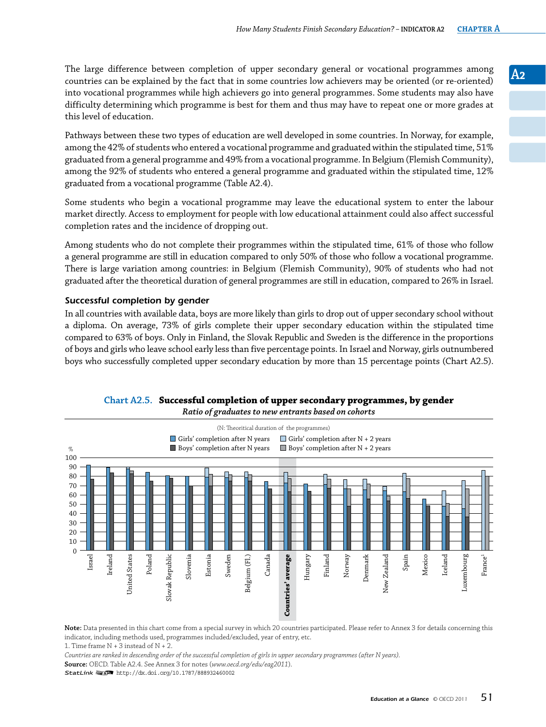The large difference between completion of upper secondary general or vocational programmes among countries can be explained by the fact that in some countries low achievers may be oriented (or re-oriented) into vocational programmes while high achievers go into general programmes. Some students may also have difficulty determining which programme is best for them and thus may have to repeat one or more grades at this level of education.

Pathways between these two types of education are well developed in some countries. In Norway, for example, among the 42% of students who entered a vocational programme and graduated within the stipulated time, 51% graduated from a general programme and 49% from a vocational programme. In Belgium (Flemish Community), among the 92% of students who entered a general programme and graduated within the stipulated time, 12% graduated from a vocational programme (Table A2.4).

Some students who begin a vocational programme may leave the educational system to enter the labour market directly. Access to employment for people with low educational attainment could also affect successful completion rates and the incidence of dropping out.

Among students who do not complete their programmes within the stipulated time, 61% of those who follow a general programme are still in education compared to only 50% of those who follow a vocational programme. There is large variation among countries: in Belgium (Flemish Community), 90% of students who had not graduated after the theoretical duration of general programmes are still in education, compared to 26% in Israel.

#### *Successful completion by gender*

In all countries with available data, boys are more likely than girls to drop out of upper secondary school without a diploma. On average, 73% of girls complete their upper secondary education within the stipulated time compared to 63% of boys. Only in Finland, the Slovak Republic and Sweden is the difference in the proportions of boys and girls who leave school early less than five percentage points. In Israel and Norway, girls outnumbered boys who successfully completed upper secondary education by more than 15 percentage points (Chart A2.5).



**Chart A2.5. Successful completion of upper secondary programmes, by gender** *Ratio of graduates to new entrants based on cohorts*

**Note:** Data presented in this chart come from a special survey in which 20 countries participated. Please refer to Annex 3 for details concerning this indicator, including methods used, programmes included/excluded, year of entry, etc.

1. Time frame N + 3 instead of N + 2.

*Countries are ranked in descending order of the successful completion of girls in upper secondary programmes (after N years).*

**Source:** OECD. Table A2.4. See Annex 3 for notes (*www.oecd.org/edu/eag2011*).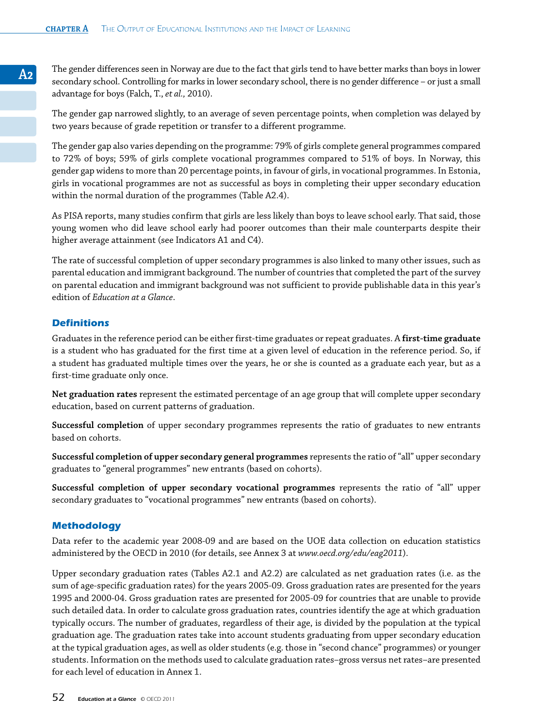The gender differences seen in Norway are due to the fact that girls tend to have better marks than boys in lower secondary school. Controlling for marks in lower secondary school, there is no gender difference – or just a small advantage for boys (Falch, T., *et al.,* 2010).

The gender gap narrowed slightly, to an average of seven percentage points, when completion was delayed by two years because of grade repetition or transfer to a different programme.

The gender gap also varies depending on the programme: 79% of girls complete general programmes compared to 72% of boys; 59% of girls complete vocational programmes compared to 51% of boys. In Norway, this gender gap widens to more than 20 percentage points, in favour of girls, in vocational programmes. In Estonia, girls in vocational programmes are not as successful as boys in completing their upper secondary education within the normal duration of the programmes (Table A2.4).

As PISA reports, many studies confirm that girls are less likely than boys to leave school early. That said, those young women who did leave school early had poorer outcomes than their male counterparts despite their higher average attainment (see Indicators A1 and C4).

The rate of successful completion of upper secondary programmes is also linked to many other issues, such as parental education and immigrant background. The number of countries that completed the part of the survey on parental education and immigrant background was not sufficient to provide publishable data in this year's edition of *Education at a Glance*.

### *Definitions*

Graduates in the reference period can be either first-time graduates or repeat graduates. A **first-time graduate** is a student who has graduated for the first time at a given level of education in the reference period. So, if a student has graduated multiple times over the years, he or she is counted as a graduate each year, but as a first-time graduate only once.

**Net graduation rates** represent the estimated percentage of an age group that will complete upper secondary education, based on current patterns of graduation.

**Successful completion** of upper secondary programmes represents the ratio of graduates to new entrants based on cohorts.

**Successful completion of upper secondary general programmes** represents the ratio of "all" upper secondary graduates to "general programmes" new entrants (based on cohorts).

**Successful completion of upper secondary vocational programmes** represents the ratio of "all" upper secondary graduates to "vocational programmes" new entrants (based on cohorts).

## *Methodology*

Data refer to the academic year 2008-09 and are based on the UOE data collection on education statistics administered by the OECD in 2010 (for details, see Annex 3 at *www.oecd.org/edu/eag2011*).

Upper secondary graduation rates (Tables A2.1 and A2.2) are calculated as net graduation rates (i.e. as the sum of age-specific graduation rates) for the years 2005-09. Gross graduation rates are presented for the years 1995 and 2000-04. Gross graduation rates are presented for 2005-09 for countries that are unable to provide such detailed data. In order to calculate gross graduation rates, countries identify the age at which graduation typically occurs. The number of graduates, regardless of their age, is divided by the population at the typical graduation age. The graduation rates take into account students graduating from upper secondary education at the typical graduation ages, as well as older students (e.g. those in "second chance" programmes) or younger students. Information on the methods used to calculate graduation rates–gross versus net rates–are presented for each level of education in Annex 1.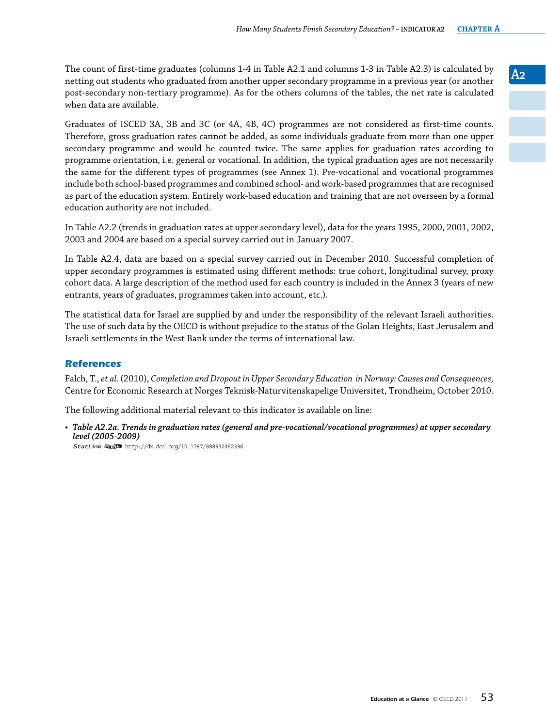The count of first-time graduates (columns 1-4 in Table A2.1 and columns 1-3 in Table A2.3) is calculated by netting out students who graduated from another upper secondary programme in a previous year (or another post-secondary non-tertiary programme). As for the others columns of the tables, the net rate is calculated when data are available.

Graduates of ISCED 3A, 3B and 3C (or 4A, 4B, 4C) programmes are not considered as first-time counts. Therefore, gross graduation rates cannot be added, as some individuals graduate from more than one upper secondary programme and would be counted twice. The same applies for graduation rates according to programme orientation, i.e. general or vocational. In addition, the typical graduation ages are not necessarily the same for the different types of programmes (see Annex 1). Pre-vocational and vocational programmes include both school-based programmes and combined school- and work-based programmes that are recognised as part of the education system. Entirely work-based education and training that are not overseen by a formal education authority are not included.

In Table A2.2 (trends in graduation rates at upper secondary level), data for the years 1995, 2000, 2001, 2002, 2003 and 2004 are based on a special survey carried out in January 2007.

In Table A2.4, data are based on a special survey carried out in December 2010. Successful completion of upper secondary programmes is estimated using different methods: true cohort, longitudinal survey, proxy cohort data. A large description of the method used for each country is included in the Annex 3 (years of new entrants, years of graduates, programmes taken into account, etc.).

The statistical data for Israel are supplied by and under the responsibility of the relevant Israeli authorities. The use of such data by the OECD is without prejudice to the status of the Golan Heights, East Jerusalem and Israeli settlements in the West Bank under the terms of international law.

## *References*

Falch, T., *et al.* (2010), *Completion and Dropout in Upper Secondary Education in Norway: Causes and Consequences,* Centre for Economic Research at Norges Teknisk-Naturvitenskapelige Universitet, Trondheim, October 2010.

The following additional material relevant to this indicator is available on line:

*• Table A2.2a. Trendsin graduation rates(general and pre-vocational/vocational programmes) at uppersecondary level* **level (2005-2009)**<br>StatLink <del>WISP</del> http://dx.doi.org/10.1787/888932462396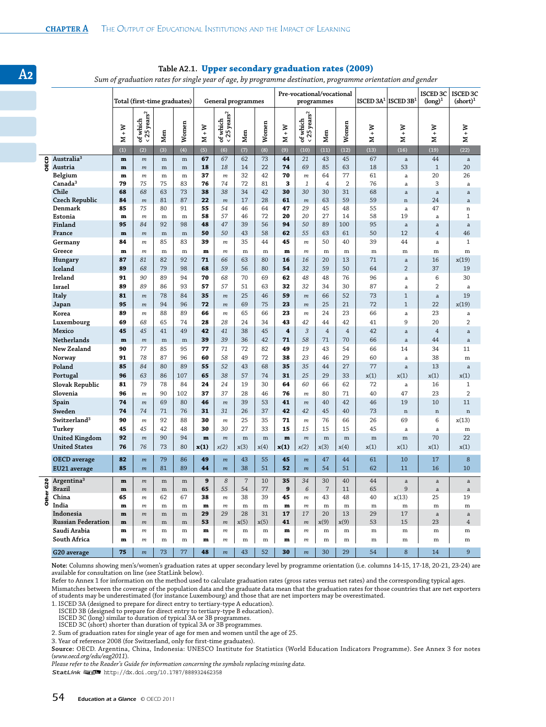#### **Table A2.1. Upper secondary graduation rates (2009)**

*Sum of graduation rates for single year of age, by programme destination, programme orientation and gender*

|              |                            |                    | Total (first-time graduates)                        |                        |           |                    | General programmes              |                  |           |                    | Pre-vocational/vocational                       | programmes       |                      | ISCED $3A1$        | $ISCED$ $3B1$              | ISCED 3C<br>$(\text{long})^1$ | <b>ISCED 3C</b><br>(short) <sup>1</sup> |
|--------------|----------------------------|--------------------|-----------------------------------------------------|------------------------|-----------|--------------------|---------------------------------|------------------|-----------|--------------------|-------------------------------------------------|------------------|----------------------|--------------------|----------------------------|-------------------------------|-----------------------------------------|
|              |                            | $\frac{8}{1}$<br>Σ | 25 years <sup>2</sup><br>which<br>ď<br>$\checkmark$ | Men                    | Women     | $\frac{8}{1}$<br>Σ | of which $\,$ $< 25$ years $\,$ | Men              | Women     | $\frac{1}{2}$<br>Σ | 25 years <sup>2</sup><br>of which<br>< 25 years | Men              | Women                | $\frac{8}{1}$<br>Σ | $\frac{8}{1}$<br>Σ         | $\frac{8}{1}$<br>Σ            | $\frac{8}{1}$<br>Σ                      |
|              |                            | (1)                | (2)                                                 | (3)                    | (4)       | (5)                | (6)                             | (7)              | (8)       | (9)                | (10)                                            | (11)             | (12)                 | (13)               | (16)                       | (19)                          | (22)                                    |
|              | Australia <sup>3</sup>     | $\mathbf{m}$       | m                                                   | ${\bf m}$              | ${\rm m}$ | 67                 | 67                              | 62               | 73        | 44                 | 21                                              | 43               | 45                   | 67                 | $\mathbf{a}$               | 44                            | $\mathbf{a}$                            |
| OECD         | Austria                    | $\mathbf{m}$       | m                                                   | ${\bf m}$              | ${\rm m}$ | 18                 | 18                              | 14               | 22        | 74                 | 69                                              | 85               | 63                   | 18                 | 53                         | $\,1\,$                       | 20                                      |
|              | Belgium                    | $\mathbf m$        | m                                                   | ${\rm m}$              | ${\rm m}$ | 37                 | m                               | 32               | 42        | 70                 | m                                               | 64               | 77                   | 61                 | a                          | 20                            | 26                                      |
|              | Canada <sup>3</sup>        | 79                 | 75                                                  | 75                     | 83        | 76                 | 74                              | 72               | 81        | 3                  | 1                                               | $\overline{4}$   | $\overline{2}$       | 76                 | a                          | 3                             | $\mathsf a$                             |
|              | Chile                      | 68<br>84           | 68                                                  | 63<br>81               | 73<br>87  | 38<br>22           | 38                              | 34<br>17         | 42<br>28  | 30<br>61           | 30                                              | 30<br>63         | 31<br>59             | 68<br>59           | $\mathbf a$                | $\mathsf a$<br>24             | $\mathbf a$                             |
|              | Czech Republic<br>Denmark  | 85                 | m<br>75                                             | 80                     | 91        | 55                 | m<br>54                         | 46               | 64        | 47                 | m<br>29                                         | 45               | 48                   | 55                 | $\mathbf n$<br>$\mathsf a$ | 47                            | a<br>$\mathbf n$                        |
|              | Estonia                    | $\mathbf m$        | $\boldsymbol{m}$                                    | ${\rm m}$              | m         | 58                 | 57                              | 46               | 72        | 20                 | 20                                              | 27               | 14                   | 58                 | 19                         | a                             | 1                                       |
|              | Finland                    | 95                 | 84                                                  | 92                     | 98        | 48                 | 47                              | 39               | 56        | 94                 | 50                                              | 89               | 100                  | 95                 | $\mathbf{a}$               | $\mathbf{a}$                  | $\mathbf{a}$                            |
|              | France                     | m                  | m                                                   | m                      | m         | 50                 | 50                              | 43               | 58        | 62                 | 55                                              | 63               | 61                   | 50                 | 12                         | $\overline{4}$                | 46                                      |
|              | Germany                    | 84                 | m                                                   | 85                     | 83        | 39                 | m                               | 35               | 44        | 45                 | m                                               | 50               | 40                   | 39                 | 44                         | $\mathsf a$                   | $\mathbf{1}$                            |
|              | Greece                     | $\mathbf{m}$       | $\boldsymbol{m}$                                    | m                      | m         | m                  | $\boldsymbol{m}$                | m                | ${\bf m}$ | $\mathbf{m}$       | $\boldsymbol{m}$                                | m                | m                    | m                  | m                          | ${\bf m}$                     | m                                       |
|              | Hungary                    | 87                 | 81                                                  | 82                     | 92        | 71                 | 66                              | 63               | 80        | 16                 | 16                                              | 20               | 13                   | 71                 | $\mathsf a$                | 16                            | x(19)                                   |
|              | Iceland                    | 89                 | 68                                                  | 79                     | 98        | 68                 | 59                              | 56               | 80        | 54                 | 32                                              | 59               | 50                   | 64                 | $\overline{2}$             | 37                            | 19                                      |
|              | Ireland                    | 91                 | 90                                                  | 89                     | 94        | 70                 | 68                              | 70               | 69        | 62                 | 48                                              | 48               | 76                   | 96                 | $\mathsf a$                | 6                             | 30                                      |
|              | Israel                     | 89                 | 89                                                  | 86                     | 93        | 57                 | 57                              | 51               | 63        | 32                 | 32                                              | 34               | 30                   | 87                 | a                          | $\overline{2}$                | $\overline{a}$                          |
|              | Italy                      | 81                 | $\boldsymbol{m}$                                    | 78                     | 84        | 35                 | $\boldsymbol{m}$                | 25               | 46        | 59                 | $\boldsymbol{m}$                                | 66               | 52                   | 73                 | $1\,$                      | $\mathbf{a}$                  | 19                                      |
|              | Japan                      | 95                 | m                                                   | 94                     | 96        | 72                 | $\boldsymbol{m}$                | 69               | 75        | 23                 | m                                               | 25               | 21                   | 72                 | $1\,$                      | 22                            | x(19)                                   |
|              | Korea                      | 89                 | m                                                   | 88                     | 89        | 66                 | m                               | 65               | 66        | 23                 | $\,m$                                           | 24               | 23                   | 66                 | $\mathbf a$                | 23                            | $\mathbf{a}$                            |
|              | Luxembourg                 | 69                 | 68                                                  | 65                     | 74        | 28                 | 28                              | 24               | 34        | 43                 | 42                                              | 44               | 42                   | 41                 | 9                          | 20                            | $\overline{2}$                          |
|              | Mexico                     | 45                 | 45                                                  | 41                     | 49        | 42<br>39           | 41<br>39                        | 38<br>36         | 45<br>42  | 4<br>71            | $\mathfrak{Z}$<br>58                            | $\sqrt{4}$<br>71 | $\overline{4}$<br>70 | 42<br>66           | a                          | $\overline{4}$<br>44          | a                                       |
|              | Netherlands<br>New Zealand | $\mathbf m$<br>90  | m<br>77                                             | ${\bf m}$<br>85        | m<br>95   | 77                 | 71                              | 72               | 82        | 49                 | 19                                              | 43               | 54                   | 66                 | $\mathbf{a}$<br>14         | 34                            | $\mathbf{a}$<br>11                      |
|              | Norway                     | 91                 | 78                                                  | 87                     | 96        | 60                 | 58                              | 49               | 72        | 38                 | 23                                              | 46               | 29                   | 60                 | $\mathbf{a}$               | 38                            | m                                       |
|              | Poland                     | 85                 | 84                                                  | 80                     | 89        | 55                 | 52                              | 43               | 68        | 35                 | 35                                              | 44               | 27                   | 77                 | $\rm{a}$                   | 13                            | $\mathbf{a}$                            |
|              | Portugal                   | 96                 | 63                                                  | 86                     | 107       | 65                 | 38                              | 57               | 74        | 31                 | 25                                              | 29               | 33                   | x(1)               | x(1)                       | x(1)                          | x(1)                                    |
|              | Slovak Republic            | 81                 | 79                                                  | 78                     | 84        | 24                 | 24                              | 19               | 30        | 64                 | 60                                              | 66               | 62                   | 72                 | $\mathsf a$                | 16                            | 1                                       |
|              | Slovenia                   | 96                 | $\boldsymbol{m}$                                    | 90                     | 102       | 37                 | 37                              | 28               | 46        | 76                 | $\boldsymbol{m}$                                | 80               | 71                   | 40                 | 47                         | 23                            | $\overline{2}$                          |
|              | Spain                      | 74                 | m                                                   | 69                     | 80        | 46                 | m                               | 39               | 53        | 41                 | m                                               | 40               | 42                   | 46                 | 19                         | 10                            | 11                                      |
|              | Sweden                     | 74                 | 74                                                  | 71                     | 76        | 31                 | 31                              | 26               | 37        | 42                 | 42                                              | 45               | 40                   | 73                 | n                          | n                             | $\mathbf n$                             |
|              | Switzerland <sup>3</sup>   | 90                 | m                                                   | 92                     | 88        | 30                 | m                               | 25               | 35        | 71                 | $\boldsymbol{m}$                                | 76               | 66                   | 26                 | 69                         | 6                             | x(13)                                   |
|              | Turkey                     | 45                 | 45                                                  | 42                     | 48        | 30                 | 30                              | 27               | 33        | 15                 | 15                                              | 15               | 15                   | 45                 | $\mathbf{a}$               | $\mathsf a$                   | m                                       |
|              | <b>United Kingdom</b>      | 92                 | m                                                   | 90                     | 94        | $\mathbf{m}$       | $\mathfrak{m}$                  | ${\rm m}$        | ${\rm m}$ | $\mathbf m$        | $\boldsymbol{m}$                                | m                | m                    | m                  | m                          | 70                            | 22                                      |
|              | <b>United States</b>       | 76                 | 76                                                  | 73                     | 80        | x(1)               | x(2)                            | x(3)             | x(4)      | x(1)               | x(2)                                            | x(3)             | x(4)                 | x(1)               | x(1)                       | x(1)                          | x(1)                                    |
|              | <b>OECD</b> average        | 82                 | m                                                   | 79                     | 86        | 49                 | m                               | 43               | 55        | 45                 | m                                               | 47               | 44                   | 61                 | 10                         | 17                            | 8                                       |
|              | EU21 average               | 85                 | $\,m$                                               | 81                     | 89        | 44                 | $\boldsymbol{m}$                | 38               | 51        | 52                 | $\boldsymbol{m}$                                | 54               | 51                   | 62                 | 11                         | 16                            | 10                                      |
| G2O          | Argentina <sup>3</sup>     | $\mathbf m$        | $\,m$                                               | ${\rm m}$              | ${\bf m}$ | 9                  | 8                               | $\boldsymbol{7}$ | 10        | 35                 | 34                                              | 30               | 40                   | 44                 | $\rm{a}$                   | $\mathsf a$                   | $\mathsf a$                             |
|              | <b>Brazil</b>              | $\mathbf m$        | $\,m$                                               | ${\rm m}$              | ${\bf m}$ | 65                 | 55                              | 54               | 77        | $\boldsymbol{9}$   | $\it 6$                                         | $\boldsymbol{7}$ | 11                   | 65                 | 9                          | $\mathsf a$                   | $\mathbf{a}$                            |
| <b>Other</b> | China                      | 65                 | m                                                   | 62                     | 67        | 38                 | $\boldsymbol{m}$                | 38               | 39        | 45                 | $\boldsymbol{m}$                                | 43               | 48                   | 40                 | x(13)                      | 25                            | 19                                      |
|              | India<br>Indonesia         | m<br>$\mathbf{m}$  | $\boldsymbol{m}$<br>m                               | m                      | m<br>m    | $\mathbf m$<br>29  | $\boldsymbol{m}$<br>29          | m<br>28          | m<br>31   | $\mathbf{m}$<br>17 | $\boldsymbol{m}$<br>17                          | m<br>20          | m<br>13              | ${\bf m}$<br>29    | m<br>17                    | ${\bf m}$<br>$\overline{a}$   | m<br>$\overline{a}$                     |
|              | <b>Russian Federation</b>  | $\mathbf{m}$       | $\,m$                                               | ${\rm m}$<br>${\rm m}$ | ${\bf m}$ | 53                 | m                               | x(5)             | x(5)      | 41                 | m                                               | x(9)             | x(9)                 | 53                 | 15                         | 23                            | $\overline{4}$                          |
|              | Saudi Arabia               | $\mathbf m$        | $\boldsymbol{m}$                                    | ${\rm m}$              | m         | $\mathbf m$        | $\boldsymbol{m}$                | m                | m         | $\mathbf m$        | m                                               | m                | ${\rm m}$            | m                  | m                          | ${\rm m}$                     | m                                       |
|              | South Africa               | $\mathbf m$        | $\,m$                                               | m                      | ${\bf m}$ | $\mathbf m$        | $\boldsymbol{m}$                | ${\bf m}$        | m         | $\mathbf m$        | $\,m$                                           | ${\bf m}$        | m                    | ${\rm m}$          | m                          | ${\bf m}$                     | m                                       |
|              | G20 average                | 75                 | $\,m$                                               | 73                     | 77        | 48                 | $\overline{m}$                  | 43               | 52        | 30                 | $\overline{m}$                                  | 30               | 29                   | 54                 | 8                          | 14                            | 9                                       |

**Note:** Columns showing men's/women's graduation rates at upper secondary level by programme orientation (i.e. columns 14-15, 17-18, 20-21, 23-24) are available for consultation on line (see StatLink below).

Refer to Annex 1 for information on the method used to calculate graduation rates (gross rates versus net rates) and the corresponding typical ages.

Mismatches between the coverage of the population data and the graduate data mean that the graduation rates for those countries that are net exporters<br>of students may be underestimated (for instance Luxembourg) and those t

1. ISCED 3A (designed to prepare for direct entry to tertiary-type A education).

ISCED 3B (designed to prepare for direct entry to tertiary-type B education). ISCED 3C (long) similar to duration of typical 3A or 3B programmes.

ISCED 3C (short) shorter than duration of typical 3A or 3B programmes.

2. Sum of graduation rates for single year of age for men and women until the age of 25.

3. Year of reference 2008 (for Switzerland, only for first-time graduates).

**Source:** OECD. Argentina, China, Indonesia: UNESCO Institute for Statistics (World Education Indicators Programme). See Annex 3 for notes (*www.oecd.org/edu/eag2011*).

*Please refer to the Reader's Guide for information concerning the symbols replacing missing data.*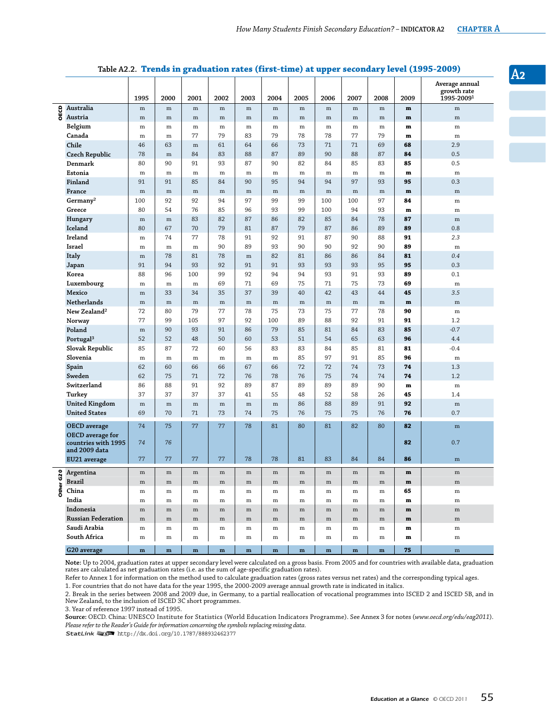|              |                                                          | 1995      | 2000      | 2001      | 2002      | 2003      | 2004      | 2005      | 2006      | 2007      | 2008      | 2009         | Average annual<br>growth rate<br>$1995 - 20091$ |
|--------------|----------------------------------------------------------|-----------|-----------|-----------|-----------|-----------|-----------|-----------|-----------|-----------|-----------|--------------|-------------------------------------------------|
|              | Australia                                                | m         | ${\bf m}$ | m         | ${\bf m}$ | ${\bf m}$ | ${\bf m}$ | ${\rm m}$ | ${\bf m}$ | ${\rm m}$ | ${\bf m}$ | $\mathbf m$  | ${\rm m}$                                       |
| OECD         | Austria                                                  | m         | ${\bf m}$ | ${\bf m}$ | m         | ${\bf m}$ | ${\rm m}$ | ${\bf m}$ | ${\bf m}$ | ${\bf m}$ | ${\bf m}$ | $\mathbf m$  | ${\bf m}$                                       |
|              | Belgium                                                  | m         | m         | ${\rm m}$ | m         | ${\bf m}$ | m         | m         | ${\rm m}$ | m         | ${\rm m}$ | $\mathbf{m}$ | m                                               |
|              | Canada                                                   | m         | m         | 77        | 79        | 83        | 79        | 78        | 78        | 77        | 79        | $\mathbf{m}$ | m                                               |
|              | Chile                                                    | 46        | 63        | m         | 61        | 64        | 66        | 73        | 71        | 71        | 69        | 68           | 2.9                                             |
|              | Czech Republic                                           | 78        | m         | 84        | 83        | 88        | 87        | 89        | 90        | 88        | 87        | 84           | 0.5                                             |
|              | Denmark                                                  | 80        | 90        | 91        | 93        | 87        | 90        | 82        | 84        | 85        | 83        | 85           | 0.5                                             |
|              | Estonia                                                  | m         | m         | m         | m         | ${\bf m}$ | m         | m         | ${\bf m}$ | m         | m         | $\mathbf m$  | m                                               |
|              | Finland                                                  | 91        | 91        | 85        | 84        | 90        | 95        | 94        | 94        | 97        | 93        | 95           | 0.3                                             |
|              | France                                                   | m         | ${\bf m}$ | ${\bf m}$ | m         | ${\bf m}$ | m         | ${\bf m}$ | m         | ${\bf m}$ | ${\bf m}$ | $\mathbf{m}$ | ${\bf m}$                                       |
|              | Germany <sup>2</sup>                                     | 100       | 92        | 92        | 94        | 97        | 99        | 99        | 100       | 100       | 97        | 84           | ${\bf m}$                                       |
|              | Greece                                                   | 80        | 54        | 76        | 85        | 96        | 93        | 99        | 100       | 94        | 93        | $\mathbf{m}$ | m                                               |
|              | Hungary                                                  | m         | ${\bf m}$ | 83        | 82        | 87        | 86        | 82        | 85        | 84        | 78        | 87           | m                                               |
|              | Iceland                                                  | 80        | 67        | 70        | 79        | 81        | 87        | 79        | 87        | 86        | 89        | 89           | 0.8                                             |
|              | Ireland                                                  | m         | 74        | 77        | 78        | 91        | 92        | 91        | 87        | 90        | 88        | 91           | 2.3                                             |
|              | Israel                                                   | m         | m         | m         | 90        | 89        | 93        | 90        | 90        | 92        | 90        | 89           | m                                               |
|              | Italy                                                    | m         | 78        | 81        | 78        | ${\rm m}$ | 82        | 81        | 86        | 86        | 84        | 81           | 0.4                                             |
|              | Japan                                                    | 91        | 94        | 93        | 92        | 91        | 91        | 93        | 93        | 93        | 95        | 95           | 0.3                                             |
|              | Korea                                                    | 88        | 96        | 100       | 99        | 92        | 94        | 94        | 93        | 91        | 93        | 89           | 0.1                                             |
|              | Luxembourg                                               | m         | m         | m         | 69        | 71        | 69        | 75        | 71        | 75        | 73        | 69           | m                                               |
|              | Mexico                                                   | m         | 33        | 34        | 35        | 37        | 39        | 40        | 42        | 43        | 44        | 45           | 3.5                                             |
|              | Netherlands                                              | m         | m         | m         | m         | ${\bf m}$ | ${\bf m}$ | ${\bf m}$ | ${\bf m}$ | ${\bf m}$ | ${\bf m}$ | $\mathbf{m}$ | ${\bf m}$                                       |
|              | New Zealand <sup>2</sup>                                 | 72        | 80        | 79        | 77        | 78        | 75        | 73        | 75        | 77        | 78        | 90           | m                                               |
|              | Norway                                                   | 77        | 99        | 105       | 97        | 92        | 100       | 89        | 88        | 92        | 91        | 91           | 1.2                                             |
|              | Poland                                                   | ${\bf m}$ | 90        | 93        | 91        | 86        | 79        | 85        | 81        | 84        | 83        | 85           | $-0.7$                                          |
|              | Portugal <sup>3</sup>                                    | 52        | 52        | 48        | 50        | 60        | 53        | 51        | 54        | 65        | 63        | 96           | 4.4                                             |
|              | Slovak Republic                                          | 85        | 87        | 72        | 60        | 56        | 83        | 83        | 84        | 85        | 81        | 81           | $-0.4$                                          |
|              | Slovenia                                                 | ${\rm m}$ | m         | m         | m         | ${\bf m}$ | m         | 85        | 97        | 91        | 85        | 96           | m                                               |
|              | Spain                                                    | 62        | 60        | 66        | 66        | 67        | 66        | 72        | 72        | 74        | 73        | 74           | 1.3                                             |
|              | Sweden                                                   | 62        | 75        | 71        | 72        | 76        | 78        | 76        | 75        | 74        | 74        | 74           | 1.2                                             |
|              | Switzerland                                              | 86        | 88        | 91        | 92        | 89        | 87        | 89        | 89        | 89        | 90        | $\mathbf m$  | m                                               |
|              | Turkey                                                   | 37        | 37        | 37        | 37        | 41        | 55        | 48        | 52        | 58        | 26        | 45           | 1.4                                             |
|              | <b>United Kingdom</b>                                    | m         | m         | m         | m         | ${\bf m}$ | ${\bf m}$ | 86        | 88        | 89        | 91        | 92           | ${\bf m}$                                       |
|              | <b>United States</b>                                     | 69        | 70        | 71        | 73        | 74        | 75        | 76        | 75        | 75        | 76        | 76           | 0.7                                             |
|              | OECD average                                             | 74        | 75        | 77        | 77        | 78        | 81        | 80        | 81        | 82        | 80        | 82           | ${\bf m}$                                       |
|              | OECD average for<br>countries with 1995<br>and 2009 data | 74        | 76        |           |           |           |           |           |           |           |           | 82           | 0.7                                             |
|              | EU21 average                                             | 77        | 77        | 77        | 77        | 78        | 78        | 81        | 83        | 84        | 84        | 86           | m                                               |
| <b>G20</b>   | Argentina                                                | m         | ${\bf m}$ | ${\bf m}$ | m         | ${\bf m}$ | ${\bf m}$ | ${\bf m}$ | ${\bf m}$ | ${\bf m}$ | ${\bf m}$ | $\mathbf{m}$ | ${\bf m}$                                       |
|              | <b>Brazil</b>                                            | m         | m         | m         | m         | m         | m         | ${\bf m}$ | m         | m         | m         | $\mathbf{m}$ | m                                               |
| <b>Other</b> | China                                                    | m         | ${\rm m}$ | ${\rm m}$ | ${\rm m}$ | m         | m         | m         | m         | m         | ${\bf m}$ | 65           | ${\bf m}$                                       |
|              | India                                                    | m         | ${\bf m}$ | ${\rm m}$ | m         | ${\bf m}$ | ${\bf m}$ | m         | ${\bf m}$ | m         | ${\bf m}$ | $\mathbf m$  | ${\bf m}$                                       |
|              | Indonesia                                                | m         | ${\bf m}$ | m         | m         | m         | ${\bf m}$ | m         | ${\bf m}$ | m         | ${\bf m}$ | $\mathbf m$  | ${\bf m}$                                       |
|              | <b>Russian Federation</b>                                | ${\rm m}$ | ${\bf m}$ | ${\bf m}$ | m         | ${\bf m}$ | ${\rm m}$ | ${\rm m}$ | ${\rm m}$ | ${\bf m}$ | ${\bf m}$ | $\mathbf m$  | ${\bf m}$                                       |
|              | Saudi Arabia                                             | m         | ${\rm m}$ | ${\rm m}$ | ${\bf m}$ | ${\bf m}$ | ${\bf m}$ | m         | m         | m         | ${\bf m}$ | $\mathbf m$  | ${\rm m}$                                       |
|              | South Africa                                             | m         | ${\bf m}$ | ${\rm m}$ | m         | m         | ${\bf m}$ | m         | ${\bf m}$ | m         | m         | $\mathbf m$  | ${\bf m}$                                       |
|              | G20 average                                              | ${\bf m}$ | ${\bf m}$ | ${\bf m}$ | ${\bf m}$ | ${\bf m}$ | ${\bf m}$ | m         | ${\bf m}$ | ${\bf m}$ | m         | 75           | ${\bf m}$                                       |

## **Table A2.2. Trends in graduation rates (first-time) at upper secondary level (1995-2009)**

**Note:** Up to 2004, graduation rates at upper secondary level were calculated on a gross basis. From 2005 and for countries with available data, graduation<br>rates are calculated as net graduation rates (i.e. as the sum of a

Refer to Annex 1 for information on the method used to calculate graduation rates (gross rates versus net rates) and the corresponding typical ages. 1. For countries that do not have data for the year 1995, the 2000-2009 average annual growth rate is indicated in italics.

2. Break in the series between 2008 and 2009 due, in Germany, to a partial reallocation of vocational programmes into ISCED 2 and ISCED 5B, and in New Zealand, to the inclusion of ISCED 3C short programmes.

3. Year of reference 1997 instead of 1995.

**Source:** OECD. China: UNESCO Institute for Statistics (World Education Indicators Programme). See Annex 3 for notes (*www.oecd.org/edu/eag2011*). 1*Please refer to the Reader's Guide for information concerning the symbols replacing missing data.*

2 http://dx.doi.org/10.1787/888932462377

**A2**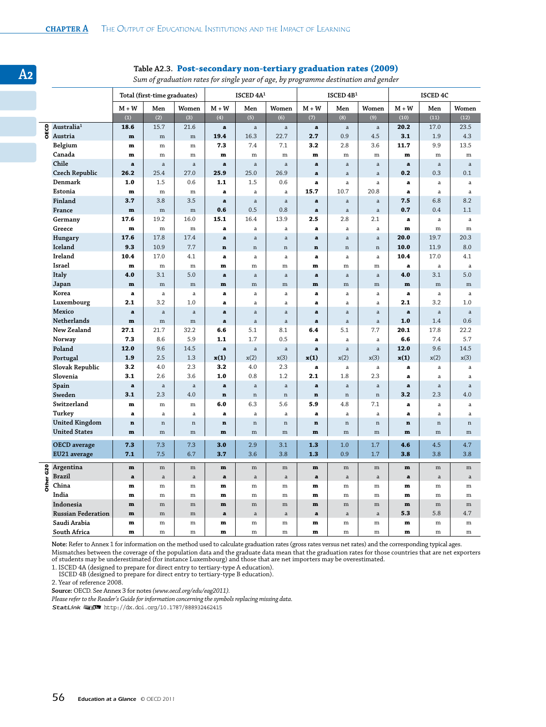#### **Table A2.3. Post-secondary non-tertiary graduation rates (2009)**

*Sum of graduation rates for single year of age, by programme destination and gender*

|   |                           |              | Total (first-time graduates) |              | ISCED 4A1    |              |              |              | ISCED $4B1$    |              | ISCED 4C     |              |              |  |  |
|---|---------------------------|--------------|------------------------------|--------------|--------------|--------------|--------------|--------------|----------------|--------------|--------------|--------------|--------------|--|--|
|   |                           | $M + W$      | Men                          | Women        | $M + W$      | Men          | Women        | $M + W$      | Men            | Women        | $M + W$      | Men          | Women        |  |  |
|   |                           | (1)          | (2)                          | (3)          | (4)          | (5)          | (6)          | (7)          | (8)            | (9)          | (10)         | (11)         | (12)         |  |  |
|   | Australia <sup>1</sup>    | 18.6         | 15.7                         | 21.6         | $\mathbf a$  | ${\bf a}$    | $\mathsf a$  | $\mathbf a$  | a              | $\mathsf a$  | 20.2         | 17.0         | 23.5         |  |  |
| 뭅 | Austria                   | m            | ${\bf m}$                    | ${\bf m}$    | 19.4         | 16.3         | 22.7         | 2.7          | 0.9            | 4.5          | 3.1          | 1.9          | 4.3          |  |  |
|   | Belgium                   | $\mathbf m$  | m                            | m            | 7.3          | 7.4          | 7.1          | 3.2          | 2.8            | 3.6          | 11.7         | 9.9          | 13.5         |  |  |
|   | Canada                    | $\mathbf m$  | m                            | m            | m            | m            | m            | m            | m              | ${\bf m}$    | m            | ${\bf m}$    | m            |  |  |
|   | Chile                     | a            | $\mathbf{a}$                 | $\mathbf{a}$ | a            | $\mathbf{a}$ | $\mathbf{a}$ | a            | $\mathbf{a}$   | $\mathbf{a}$ | $\mathbf a$  | $\mathbf{a}$ | $\mathsf a$  |  |  |
|   | Czech Republic            | 26.2         | 25.4                         | 27.0         | 25.9         | 25.0         | 26.9         | a            | $\mathbf{a}$   | $\mathbf{a}$ | 0.2          | 0.3          | 0.1          |  |  |
|   | Denmark                   | 1.0          | 1.5                          | 0.6          | $1.1$        | 1.5          | 0.6          | a            | $\mathbf a$    | a            | $\mathbf a$  | $\mathsf a$  | $\mathsf a$  |  |  |
|   | Estonia                   | $\mathbf{m}$ | ${\rm m}$                    | ${\rm m}$    | a            | $\mathsf a$  | $\mathbf{a}$ | 15.7         | 10.7           | 20.8         | $\mathbf a$  | $\mathsf{a}$ | $\mathsf a$  |  |  |
|   | Finland                   | 3.7          | 3.8                          | 3.5          | a            | $\rm{a}$     | $\mathbf a$  | a            | $\mathsf a$    | $\mathbf{a}$ | 7.5          | 6.8          | 8.2          |  |  |
|   | France                    | m            | ${\bf m}$                    | m            | 0.6          | 0.5          | 0.8          | a            | $\mathbf{a}$   | $\mathbf{a}$ | 0.7          | 0.4          | 1.1          |  |  |
|   | Germany                   | 17.6         | 19.2                         | 16.0         | 15.1         | 16.4         | 13.9         | 2.5          | 2.8            | 2.1          | a            | $\mathbf a$  | $\mathbf a$  |  |  |
|   | Greece                    | $\mathbf m$  | m                            | m            | $\mathbf a$  | $\mathbf{a}$ | $\mathbf{a}$ | a            | a              | a            | m            | ${\rm m}$    | ${\rm m}$    |  |  |
|   | Hungary                   | 17.6         | 17.8                         | 17.4         | $\mathbf{a}$ | $\mathbf{a}$ | $\mathbf{a}$ | a            | $\mathbf{a}$   | $\mathbf{a}$ | 20.0         | 19.7         | 20.3         |  |  |
|   | Iceland                   | 9.3          | 10.9                         | 7.7          | $\mathbf{n}$ | $\mathbf n$  | $\mathbf n$  | $\mathbf{n}$ | $\mathbf n$    | $\mathbf n$  | 10.0         | 11.9         | 8.0          |  |  |
|   | Ireland                   | 10.4         | 17.0                         | 4.1          | $\mathbf a$  | a            | $\mathbf{a}$ | a            | $\mathsf a$    | $\mathbf{a}$ | 10.4         | 17.0         | 4.1          |  |  |
|   | Israel                    | $\mathbf{m}$ | ${\bf m}$                    | ${\bf m}$    | $\mathbf{m}$ | ${\bf m}$    | m            | $\mathbf{m}$ | m              | ${\bf m}$    | $\mathbf a$  | a            | a            |  |  |
|   | Italy                     | 4.0          | 3.1                          | 5.0          | a            | $\mathsf a$  | $\mathbf a$  | a            | $\mathsf a$    | $\mathsf a$  | 4.0          | 3.1          | 5.0          |  |  |
|   | Japan                     | $\mathbf m$  | ${\bf m}$                    | ${\bf m}$    | $\mathbf m$  | m            | m            | $\mathbf{m}$ | m              | ${\bf m}$    | $\mathbf{m}$ | ${\bf m}$    | m            |  |  |
|   | Korea                     | $\mathbf a$  | $\mathbf{a}$                 | $\mathbf a$  | $\mathbf a$  | $\mathbf{a}$ | $\mathbf{a}$ | a            | a              | $\mathbf{a}$ | $\mathbf a$  | $\mathsf{a}$ | $\mathbf{a}$ |  |  |
|   | Luxembourg                | 2.1          | 3.2                          | 1.0          | a            | $\mathbf{a}$ | $\mathbf{a}$ | a            | a              | a            | 2.1          | 3.2          | 1.0          |  |  |
|   | Mexico                    | $\mathbf a$  | $\mathsf a$                  | $\mathbf{a}$ | a            | $\mathbf{a}$ | $\mathbf{a}$ | $\mathbf{a}$ | $\mathbf{a}$   | $\rm{a}$     | $\mathbf a$  | $\mathbf{a}$ | $\mathbf a$  |  |  |
|   | Netherlands               | $\mathbf{m}$ | m                            | m            | a            | $\mathsf a$  | $\rm{a}$     | a            | $\mathbf{a}$   | $\mathbf a$  | 1.0          | 1.4          | 0.6          |  |  |
|   | New Zealand               | 27.1         | 21.7                         | 32.2         | 6.6          | 5.1          | 8.1          | 6.4          | 5.1            | 7.7          | 20.1         | 17.8         | 22.2         |  |  |
|   | Norway                    | 7.3          | 8.6                          | 5.9          | $1.1$        | 1.7          | 0.5          | a            | a              | a            | 6.6          | 7.4          | 5.7          |  |  |
|   | Poland                    | 12.0         | 9.6                          | 14.5         | $\mathbf a$  | $\mathbf{a}$ | $\mathbf{a}$ | a            | $\mathbf{a}$   | $\mathbf{a}$ | 12.0         | 9.6          | 14.5         |  |  |
|   | Portugal                  | 1.9          | 2.5                          | 1.3          | x(1)         | x(2)         | x(3)         | x(1)         | x(2)           | x(3)         | x(1)         | x(2)         | x(3)         |  |  |
|   | Slovak Republic           | 3.2          | 4.0                          | 2.3          | 3.2          | 4.0          | 2.3          | a            | $\mathbf{a}$   | $\mathbf a$  | $\mathbf a$  | a            | $\mathbf{a}$ |  |  |
|   | Slovenia                  | 3.1          | 2.6                          | 3.6          | 1.0          | 0.8          | 1.2          | 2.1          | 1.8            | 2.3          | a            | a            | a            |  |  |
|   | Spain                     | a            | $\mathbf{a}$                 | a            | $\mathbf{a}$ | $\mathbf{a}$ | $\mathbf{a}$ | a            | $\mathbf{a}$   | $\mathbf{a}$ | $\mathbf{a}$ | $\mathbf{a}$ | $\mathbf a$  |  |  |
|   | Sweden                    | 3.1          | 2.3                          | 4.0          | $\mathbf n$  | $\mathbf n$  | $\mathbf n$  | $\mathbf n$  | $\mathbf n$    | $\mathbf n$  | 3.2          | 2.3          | 4.0          |  |  |
|   | Switzerland               | $\mathbf m$  | m                            | ${\rm m}$    | 6.0          | 6.3          | 5.6          | 5.9          | 4.8            | 7.1          | $\bf a$      | a            | a            |  |  |
|   | Turkey                    | $\mathbf a$  | $\mathbf{a}$                 | $\mathbf{a}$ | $\mathbf a$  | a            | a            | a            | a              | a            | a            | $\mathbf{a}$ | $\mathbf{a}$ |  |  |
|   | <b>United Kingdom</b>     | $\mathbf n$  | $\bf n$                      | $\bf n$      | $\mathbf n$  | $\mathbf n$  | $\mathbf n$  | $\mathbf n$  | $\mathbf n$    | $\bf n$      | $\mathbf n$  | $\mathbf n$  | $\mathbf n$  |  |  |
|   | <b>United States</b>      | m            | m                            | m            | $\mathbf{m}$ | m            | m            | m            | m              | ${\rm m}$    | m            | m            | m            |  |  |
|   | <b>OECD</b> average       | 7.3          | 7.3                          | 7.3          | 3.0          | 2.9          | 3.1          | 1.3          | 1.0            | 1.7          | 4.6          | 4.5          | 4.7          |  |  |
|   | EU21 average              | 7.1          | 7.5                          | 6.7          | 3.7          | 3.6          | 3.8          | 1.3          | 0.9            | 1.7          | 3.8          | 3.8          | 3.8          |  |  |
|   |                           |              |                              |              |              |              |              |              |                |              |              |              |              |  |  |
|   | Argentina                 | $\mathbf m$  | m                            | m            | $\mathbf m$  | m            | m            | $\mathbf m$  | m              | ${\rm m}$    | $\mathbf m$  | m            | m            |  |  |
|   | <b>Brazil</b>             | $\mathbf a$  | $\mathbf{a}$                 | $\mathbf{a}$ | $\mathbf a$  | $\rm{a}$     | $\mathbf{a}$ | a            | $\mathbf{a}$   | $\mathbf{a}$ | $\mathbf a$  | $\mathbf{a}$ | $\mathbf{a}$ |  |  |
|   | China                     | $\mathbf m$  | m                            | m            | $\mathbf m$  | m            | m            | $\mathbf{m}$ | m              | ${\bf m}$    | $\mathbf m$  | ${\rm m}$    | ${\rm m}$    |  |  |
|   | India                     | $\mathbf m$  | m                            | m            | $\mathbf m$  | m            | m            | m            | m              | m            | m            | ${\bf m}$    | ${\bf m}$    |  |  |
|   | Indonesia                 | $\mathbf m$  | ${\bf m}$                    | ${\bf m}$    | $\mathbf m$  | m            | m            | $\mathbf{m}$ | m              | ${\bf m}$    | $\mathbf m$  | ${\rm m}$    | m            |  |  |
|   | <b>Russian Federation</b> | $\mathbf{m}$ | m                            | m            | a            | $\mathbf{a}$ | a            | a            | $\overline{a}$ | $\mathbf{a}$ | 5.3          | 5.8          | 4.7          |  |  |
|   | Saudi Arabia              | $\mathbf{m}$ | m                            | ${\bf m}$    | $\mathbf{m}$ | m            | m            | $\mathbf{m}$ | m              | ${\bf m}$    | $\mathbf m$  | ${\bf m}$    | ${\bf m}$    |  |  |
|   | South Africa              | $\mathbf{m}$ | m                            | m            | $\mathbf{m}$ | m            | m            | $\mathbf{m}$ | m              | ${\bf m}$    | $\mathbf{m}$ | ${\bf m}$    | ${\bf m}$    |  |  |

**Note:** Refer to Annex 1 for information on the method used to calculate graduation rates (gross rates versus net rates) and the corresponding typical ages. Mismatches between the coverage of the population data and the graduate data mean that the graduation rates for those countries that are net exporters<br>of students may be underestimated (for instance Luxembourg) and those t

1. ISCED 4A (designed to prepare for direct entry to tertiary-type A education). ISCED 4B (designed to prepare for direct entry to tertiary-type B education).

2. Year of reference 2008.

**Source:** OECD. See Annex 3 for notes *(www.oecd.org/edu/eag2011).*

*Please refer to the Reader's Guide for information concerning the symbols replacing missing data.*

StatLink inset http://dx.doi.org/10.1787/888932462415

 $\overline{\phantom{0}}$ 

**A2**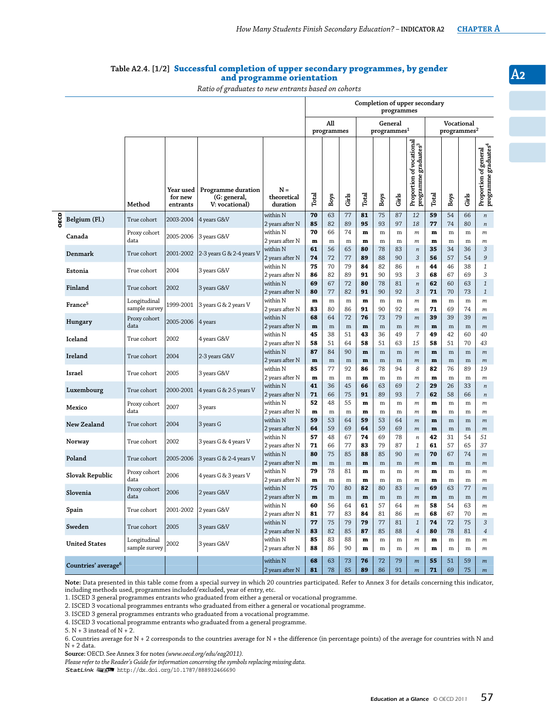#### **Table A2.4. [1/2] Successful completion of upper secondary programmes, by gender and programme orientation**

*Ratio of graduates to new entrants based on cohorts*

|                                 |                               |                                  |                                                      |                                  |                   |                   |                 |                    |                         | programmes     | Completion of upper secondary                                |                              |                         |                        |                                                           |
|---------------------------------|-------------------------------|----------------------------------|------------------------------------------------------|----------------------------------|-------------------|-------------------|-----------------|--------------------|-------------------------|----------------|--------------------------------------------------------------|------------------------------|-------------------------|------------------------|-----------------------------------------------------------|
|                                 |                               |                                  |                                                      |                                  |                   | All<br>programmes |                 |                    | programmes <sup>1</sup> | General        |                                                              |                              | programmes <sup>2</sup> | Vocational             |                                                           |
|                                 | Method                        | Year used<br>for new<br>entrants | Programme duration<br>(G: general,<br>V: vocational) | $N =$<br>theoretical<br>duration | Total             | <b>Boys</b>       | Girls           | Total              | <b>Boys</b>             | Girls          | Proportion of vocational<br>programme graduates <sup>3</sup> | Total                        | <b>Boys</b>             | Girls                  | Proportion of general<br>programme graduates <sup>4</sup> |
| Belgium (Fl.)                   | True cohort                   | 2003-2004                        | 4 years G&V                                          | within N<br>2 years after N      | 70<br>85          | 63<br>82          | 77<br>89        | 81<br>95           | 75<br>93                | 87<br>97       | 12<br>18                                                     | 59<br>77                     | 54<br>74                | 66<br>80               | $\sqrt{n}$<br>$\boldsymbol{n}$                            |
| Canada                          | Proxy cohort<br>data          | 2005-2006                        | 3 years G&V                                          | within N<br>2 years after N      | 70<br>$\mathbf m$ | 66<br>m           | 74<br>m         | $\mathbf{m}$<br>m  | m<br>${\bf m}$          | m<br>m         | $\boldsymbol{m}$<br>$\boldsymbol{m}$                         | $\mathbf{m}$<br>$\mathbf{m}$ | m<br>m                  | m<br>m                 | m<br>m                                                    |
| Denmark                         | True cohort                   | 2001-2002                        | 2-3 years G & 2-4 years V                            | within N<br>2 years after N      | 61<br>74          | 56<br>72          | 65<br>77        | 80<br>89           | 78<br>88                | 83<br>90       | $\boldsymbol{n}$<br>3                                        | 35<br>56                     | 34<br>57                | 36<br>54               | 3<br>$\boldsymbol{9}$                                     |
| Estonia                         | True cohort                   | 2004                             | 3 years G&V                                          | within N<br>2 years after N      | 75<br>86          | 70<br>82          | 79<br>89        | 84<br>91           | 82<br>90                | 86<br>93       | $\boldsymbol{n}$<br>3                                        | 44<br>68                     | 46<br>67                | 38<br>69               | $\mathfrak 1$<br>3                                        |
| Finland                         | True cohort                   | 2002                             | 3 years G&V                                          | within N<br>2 years after N      | 69<br>80          | 67<br>77          | 72<br>82        | 80<br>91           | 78<br>90                | 81<br>92       | $\boldsymbol{n}$<br>$\sqrt{3}$                               | 62<br>71                     | 60<br>70                | 63<br>73               | $1\,$<br>$\mathbf{1}$                                     |
| France <sup>5</sup>             | Longitudinal<br>sample survey | 1999-2001                        | 3 years G & 2 years V                                | within N<br>2 years after N      | $\mathbf m$<br>83 | m<br>80           | m<br>86         | $\mathbf m$<br>91  | m<br>90                 | m<br>92        | $\boldsymbol{m}$<br>$\boldsymbol{m}$                         | $\mathbf{m}$<br>71           | m<br>69                 | ${\rm m}$<br>74        | $\boldsymbol{m}$<br>$\boldsymbol{m}$                      |
| Hungary                         | Proxy cohort<br>data          | 2005-2006                        | 4 years                                              | within N<br>2 years after N      | 68<br>$\mathbf m$ | 64<br>m           | 72<br>${\bf m}$ | 76<br>m            | 73<br>${\bf m}$         | 79<br>m        | $\boldsymbol{m}$<br>$\boldsymbol{m}$                         | 39<br>$\mathbf{m}$           | 39<br>${\rm m}$         | 39<br>m                | $\boldsymbol{m}$<br>m                                     |
| Iceland                         | True cohort                   | 2002                             | 4 years G&V                                          | within N<br>2 years after N      | 45<br>58          | 38<br>51          | 51<br>64        | 43<br>58           | 36<br>51                | 49<br>63       | 7<br>15                                                      | 49<br>58                     | 42<br>51                | 60<br>70               | 40<br>43                                                  |
| Ireland                         | True cohort                   | 2004                             | 2-3 years G&V                                        | within N<br>2 years after N      | 87<br>$\mathbf m$ | 84<br>m           | 90<br>m         | m<br>$\mathbf{m}$  | m<br>m                  | m<br>m         | $\,m$<br>$\boldsymbol{m}$                                    | m<br>$\mathbf{m}$            | m<br>${\bf m}$          | m<br>m                 | $\boldsymbol{m}$<br>m                                     |
| Israel                          | True cohort                   | 2005                             | 3 years G&V                                          | within N<br>2 years after N      | 85<br>$\mathbf m$ | 77<br>${\rm m}$   | 92<br>m         | 86<br>m            | 78<br>m                 | 94<br>m        | 8<br>$\,m$                                                   | 82<br>$\mathbf m$            | 76<br>m                 | 89<br>${\rm m}$        | 19<br>m                                                   |
| Luxembourg                      | True cohort                   | 2000-2001                        | 4 years G & 2-5 years V                              | within N<br>2 years after N      | 41<br>71          | 36<br>66          | 45<br>75        | 66<br>91           | 63<br>89                | 69<br>93       | $\overline{2}$<br>$\overline{7}$                             | 29<br>62                     | 26<br>58                | 33<br>66               | $\boldsymbol{n}$<br>$\boldsymbol{n}$                      |
| Mexico                          | Proxy cohort<br>data          | 2007                             | 3 years                                              | within N<br>2 years after N      | 52<br>$\mathbf m$ | 48<br>${\rm m}$   | 55<br>${\rm m}$ | m<br>m             | ${\bf m}$<br>${\rm m}$  | m<br>${\bf m}$ | $\boldsymbol{m}$<br>$\,m$                                    | m<br>$\mathbf m$             | ${\bf m}$<br>m          | ${\bf m}$<br>m         | m<br>m                                                    |
| New Zealand                     | True cohort                   | 2004                             | 3 years G                                            | within N<br>2 years after N      | 59<br>64          | 53<br>59          | 64<br>69        | 59<br>64           | 53<br>59                | 64<br>69       | $\,m$<br>$\overline{m}$                                      | m<br>$\mathbf{m}$            | m<br>m                  | ${\rm m}$<br>m         | $\boldsymbol{m}$<br>$\overline{m}$                        |
| Norway                          | True cohort                   | 2002                             | 3 years G & 4 years V                                | within N<br>2 years after N      | 57<br>71          | 48<br>66          | 67<br>77        | 74<br>83           | 69<br>79                | 78<br>87       | n<br>1                                                       | 42<br>61                     | 31<br>57                | 54<br>65               | 51<br>37                                                  |
| Poland                          | True cohort                   | 2005-2006                        | 3 years G & 2-4 years V                              | within N<br>2 years after N      | 80<br>$\mathbf m$ | 75<br>m           | 85<br>m         | 88<br>m            | 85<br>m                 | 90<br>m        | $\boldsymbol{m}$<br>$\overline{m}$                           | 70<br>$\mathbf{m}$           | 67<br>m                 | 74<br>m                | $\boldsymbol{m}$<br>$\overline{m}$                        |
| Slovak Republic                 | Proxy cohort<br>data          | 2006                             | 4 years G & 3 years V                                | within N<br>2 years after N      | 79<br>m           | 78<br>m           | 81<br>m         | $\mathbf{m}$<br>m  | m<br>m                  | m<br>m         | $\boldsymbol{m}$<br>$\boldsymbol{m}$                         | $\mathbf{m}$<br>m            | m<br>m                  | m<br>m                 | $\boldsymbol{m}$<br>m                                     |
| Slovenia                        | Proxy cohort<br>data          | 2006                             | 2 years G&V                                          | within N<br>2 years after N      | 75<br>$\mathbf m$ | 70<br>${\rm m}$   | 80<br>m         | 82<br>$\mathbf{m}$ | 80<br>${\bf m}$         | 83<br>m        | $\boldsymbol{m}$<br>$\boldsymbol{m}$                         | 69<br>$\mathbf{m}$           | 63<br>${\rm m}$         | 77<br>${\rm m}$        | $\boldsymbol{m}$<br>$\boldsymbol{m}$                      |
| Spain                           | True cohort                   | 2001-2002                        | 2 years G&V                                          | within N<br>2 years after N      | 60<br>81          | 56<br>77          | 64<br>83        | 61<br>84           | 57<br>81                | 64<br>86       | $\boldsymbol{m}$<br>$\mathfrak{m}$                           | 58<br>68                     | 54<br>67                | 63<br>70               | $\boldsymbol{m}$<br>m                                     |
| Sweden                          | True cohort                   | 2005                             | 3 years G&V                                          | within N<br>2 years after N      | 77<br>83          | 75<br>82          | 79<br>85        | 79<br>87           | 77<br>85                | 81<br>88       | $1\,$<br>$\overline{4}$                                      | 74<br>80                     | 72<br>78                | 75<br>81               | 3<br>$\overline{4}$                                       |
| <b>United States</b>            | Longitudinal<br>sample survey | 2002                             | 3 years G&V                                          | within N<br>2 years after N      | 85<br>88          | 83<br>86          | 88<br>90        | m<br>$\mathbf{m}$  | m<br>m                  | m<br>m         | $\boldsymbol{m}$<br>$\boldsymbol{m}$                         | $\mathbf{m}$<br>$\mathbf{m}$ | ${\rm m}$<br>${\rm m}$  | ${\rm m}$<br>${\bf m}$ | $\boldsymbol{m}$<br>$\boldsymbol{m}$                      |
| Countries' average <sup>6</sup> |                               |                                  |                                                      | within N<br>2 years after N      | 68<br>81          | 63<br>78          | 73<br>85        | 76<br>89           | 72<br>86                | 79<br>91       | $\overline{m}$<br>$\overline{m}$                             | 55<br>71                     | 51<br>69                | 59<br>75               | $\boldsymbol{m}$<br>$\boldsymbol{m}$                      |

**Note:** Data presented in this table come from a special survey in which 20 countries participated. Refer to Annex 3 for details concerning this indicator,<br>including methods used, programmes included/excluded, year of entr

1. ISCED 3 general programmes entrants who graduated from either a general or vocational programme.

2. ISCED 3 vocational programmes entrants who graduated from either a general or vocational programme.

3. ISCED 3 general programmes entrants who graduated from a vocational programme.

4. ISCED 3 vocational programme entrants who graduated from a general programme.

5. N + 3 instead of N + 2.

6. Countries average for N + 2 corresponds to the countries average for N + the difference (in percentage points) of the average for countries with N and  $N + 2$  data.

**Source:** OECD. See Annex 3 for notes *(www.oecd.org/edu/eag2011).*

*Please refer to the Reader's Guide for information concerning the symbols replacing missing data.*